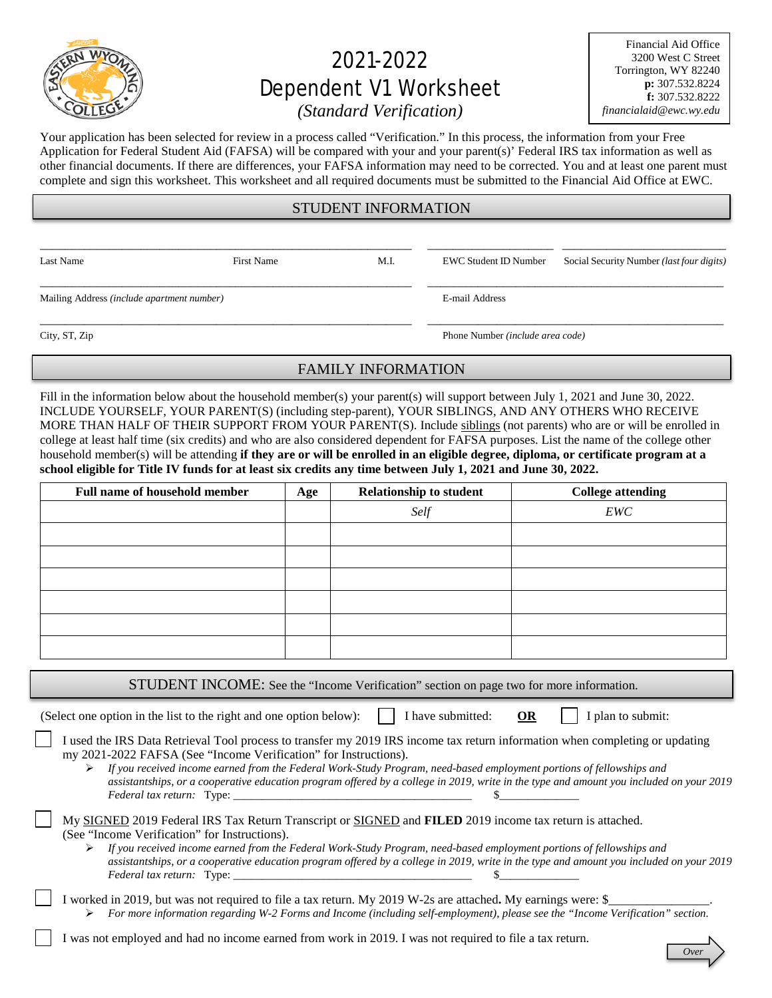

# 2021-2022 Dependent V1 Worksheet

Financial Aid Office 3200 West C Street Torrington, WY 82240 **p:** 307.532.8224 **f:** 307.532.8222 *financialaid@ewc.wy.edu*

# *(Standard Verification)*

Your application has been selected for review in a process called "Verification." In this process, the information from your Free Application for Federal Student Aid (FAFSA) will be compared with your and your parent(s)' Federal IRS tax information as well as other financial documents. If there are differences, your FAFSA information may need to be corrected. You and at least one parent must complete and sign this worksheet. This worksheet and all required documents must be submitted to the Financial Aid Office at EWC.

### STUDENT INFORMATION

\_\_\_\_\_\_\_\_\_\_\_\_\_\_\_\_\_\_\_\_\_\_\_\_\_\_\_\_\_\_\_\_\_\_\_\_\_\_\_\_\_\_\_\_\_\_\_\_\_\_\_\_\_\_\_\_\_\_\_ \_\_\_\_\_\_\_\_\_\_\_\_\_\_\_\_\_\_\_\_ \_\_\_\_\_\_\_\_\_\_\_\_\_\_\_\_\_\_\_\_\_\_\_\_\_\_ \_\_\_\_\_\_\_\_\_\_\_\_\_\_\_\_\_\_\_\_\_\_\_\_\_\_\_\_\_\_\_\_\_\_\_\_\_\_\_\_\_\_\_\_\_\_\_\_\_\_\_\_\_\_\_\_\_\_\_ \_\_\_\_\_\_\_\_\_\_\_\_\_\_\_\_\_\_\_\_\_\_\_\_\_\_\_\_\_\_\_\_\_\_\_\_\_\_\_\_\_\_\_\_\_\_\_

Mailing Address *(include apartment number)* E-mail Address

Last Name First Name First Name M.I. EWC Student ID Number Social Security Number *(last four digits)* 

City, ST, Zip Phone Number *(include area code)*

# FAMILY INFORMATION

\_\_\_\_\_\_\_\_\_\_\_\_\_\_\_\_\_\_\_\_\_\_\_\_\_\_\_\_\_\_\_\_\_\_\_\_\_\_\_\_\_\_\_\_\_\_\_\_\_\_\_\_\_\_\_\_\_\_\_ \_\_\_\_\_\_\_\_\_\_\_\_\_\_\_\_\_\_\_\_\_\_\_\_\_\_\_\_\_\_\_\_\_\_\_\_\_\_\_\_\_\_\_\_\_\_\_

Fill in the information below about the household member(s) your parent(s) will support between July 1, 2021 and June 30, 2022. INCLUDE YOURSELF, YOUR PARENT(S) (including step-parent), YOUR SIBLINGS, AND ANY OTHERS WHO RECEIVE MORE THAN HALF OF THEIR SUPPORT FROM YOUR PARENT(S). Include siblings (not parents) who are or will be enrolled in college at least half time (six credits) and who are also considered dependent for FAFSA purposes. List the name of the college other household member(s) will be attending **if they are or will be enrolled in an eligible degree, diploma, or certificate program at a school eligible for Title IV funds for at least six credits any time between July 1, 2021 and June 30, 2022.**

| <b>Full name of household member</b> | Age | <b>Relationship to student</b> | <b>College attending</b> |
|--------------------------------------|-----|--------------------------------|--------------------------|
|                                      |     | Self                           | EWC                      |
|                                      |     |                                |                          |
|                                      |     |                                |                          |
|                                      |     |                                |                          |
|                                      |     |                                |                          |
|                                      |     |                                |                          |
|                                      |     |                                |                          |

STUDENT INCOME: See the "Income Verification" section on page two for more information.

(Select one option in the list to the right and one option below):  $\|\cdot\|$  have submitted: **OR**  $\|\cdot\|$  plan to submit:

| I used the IRS Data Retrieval Tool process to transfer my 2019 IRS income tax return information when completing or updating |
|------------------------------------------------------------------------------------------------------------------------------|
| my 2021-2022 FAFSA (See "Income Verification" for Instructions).                                                             |

 *If you received income earned from the Federal Work-Study Program, need-based employment portions of fellowships and assistantships, or a cooperative education program offered by a college in 2019, write in the type and amount you included on your 2019 Federal tax return:* Type: \_\_\_

| My SIGNED 2019 Federal IRS Tax Return Transcript or SIGNED and FILED 2019 income tax return is attached. |  |
|----------------------------------------------------------------------------------------------------------|--|
| (See "Income Verification" for Instructions).                                                            |  |

- *If you received income earned from the Federal Work-Study Program, need-based employment portions of fellowships and assistantships, or a cooperative education program offered by a college in 2019, write in the type and amount you included on your 2019 Federal tax return:* Type:
- I worked in 2019, but was not required to file a tax return. My 2019 W-2s are attached. My earnings were: \$ *For more information regarding W-2 Forms and Income (including self-employment), please see the "Income Verification" section.*

I was not employed and had no income earned from work in 2019. I was not required to file a tax return.